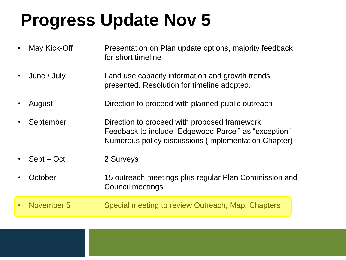# **Progress Update Nov 5**

| May Kick-Off | Presentation on Plan update options, majority feedback<br>for short timeline                                                                                 |
|--------------|--------------------------------------------------------------------------------------------------------------------------------------------------------------|
| June / July  | Land use capacity information and growth trends<br>presented. Resolution for timeline adopted.                                                               |
| August       | Direction to proceed with planned public outreach                                                                                                            |
| September    | Direction to proceed with proposed framework<br>Feedback to include "Edgewood Parcel" as "exception"<br>Numerous policy discussions (Implementation Chapter) |
| $Sept - Oct$ | 2 Surveys                                                                                                                                                    |
| October      | 15 outreach meetings plus regular Plan Commission and<br><b>Council meetings</b>                                                                             |
|              |                                                                                                                                                              |
|              |                                                                                                                                                              |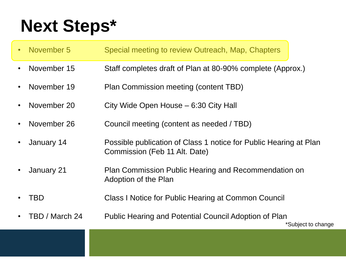# **Next Steps\***

| • November 5   | Special meeting to review Outreach, Map, Chapters                                                  |
|----------------|----------------------------------------------------------------------------------------------------|
| November 15    | Staff completes draft of Plan at 80-90% complete (Approx.)                                         |
| November 19    | Plan Commission meeting (content TBD)                                                              |
| November 20    | City Wide Open House – 6:30 City Hall                                                              |
| November 26    | Council meeting (content as needed / TBD)                                                          |
| January 14     | Possible publication of Class 1 notice for Public Hearing at Plan<br>Commission (Feb 11 Alt. Date) |
| January 21     | Plan Commission Public Hearing and Recommendation on<br>Adoption of the Plan                       |
| TBD            | Class I Notice for Public Hearing at Common Council                                                |
| TBD / March 24 | Public Hearing and Potential Council Adoption of Plan                                              |

\*Subject to change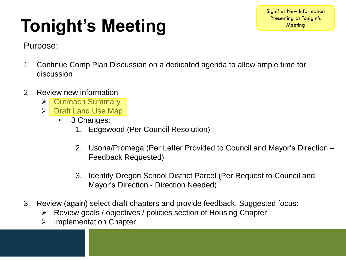#### Signifies New Information Presenting at Tonight's **Meeting**

# **Tonight's Meeting**

Purpose:

- 1. Continue Comp Plan Discussion on a dedicated agenda to allow ample time for discussion
- 2. Review new information
	- Outreach Summary
	- Draft Land Use Map
		- 3 Changes:
			- 1. Edgewood (Per Council Resolution)
			- 2. Usona/Promega (Per Letter Provided to Council and Mayor's Direction Feedback Requested)
			- 3. Identify Oregon School District Parcel (Per Request to Council and Mayor's Direction - Direction Needed)
- 3. Review (again) select draft chapters and provide feedback. Suggested focus:
	- $\triangleright$  Review goals / objectives / policies section of Housing Chapter
	- $\triangleright$  Implementation Chapter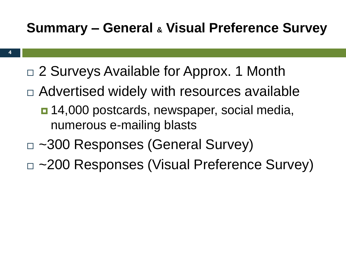### **Summary – General & Visual Preference Survey**

- □ 2 Surveys Available for Approx. 1 Month
- □ Advertised widely with resources available
	- 14,000 postcards, newspaper, social media, numerous e-mailing blasts
- □ ~300 Responses (General Survey)
- □ ~200 Responses (Visual Preference Survey)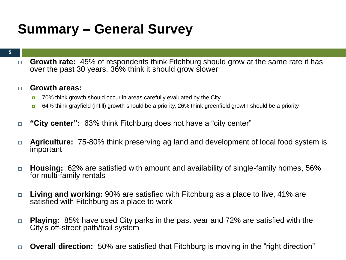### **Summary – General Survey**

#### **5**

 **Growth rate:** 45% of respondents think Fitchburg should grow at the same rate it has over the past 30 years, 36% think it should grow slower

#### **Growth areas:**

- 70% think growth should occur in areas carefully evaluated by the City
- 64% think grayfield (infill) growth should be a priority, 26% think greenfield growth should be a priority
- □ **"City center":** 63% think Fitchburg does not have a "city center"
- **Agriculture:** 75-80% think preserving ag land and development of local food system is important
- **Housing:** 62% are satisfied with amount and availability of single-family homes, 56% for multi-family rentals
- **Living and working:** 90% are satisfied with Fitchburg as a place to live, 41% are satisfied with Fitchburg as a place to work
- **Playing:** 85% have used City parks in the past year and 72% are satisfied with the City's off-street path/trail system
- **Overall direction:** 50% are satisfied that Fitchburg is moving in the "right direction"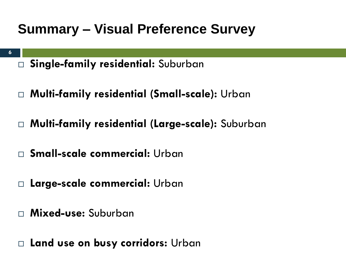### **Summary – Visual Preference Survey**

- **6**
- **Single-family residential:** Suburban
- **Multi-family residential (Small-scale):** Urban
- **Multi-family residential (Large-scale):** Suburban
- **Small-scale commercial:** Urban
- **Large-scale commercial:** Urban
- **Mixed-use:** Suburban
- **Land use on busy corridors:** Urban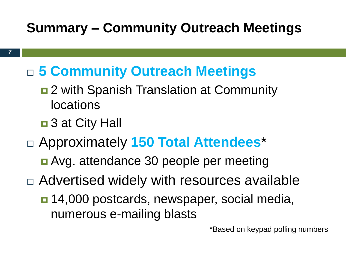- **5 Community Outreach Meetings**
	- $\blacksquare$  2 with Spanish Translation at Community locations
	- 3 at City Hall
- Approximately **150 Total Attendees**\*
	- Avg. attendance 30 people per meeting
- Advertised widely with resources available
	- 14,000 postcards, newspaper, social media, numerous e-mailing blasts

\*Based on keypad polling numbers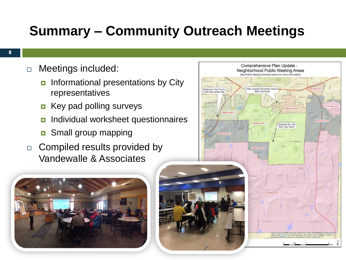- □ Meetings included:
	- $\blacksquare$  Informational presentations by City representatives
	- **E** Key pad polling surveys
	- **n** Individual worksheet questionnaires
	- **D** Small group mapping
- $\Box$  Compiled results provided by Vandewalle & Associates



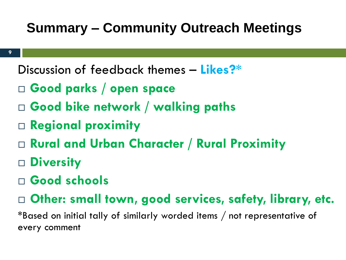Discussion of feedback themes – **Likes?\***

- **Good parks / open space**
- **Good bike network / walking paths**
- **Regional proximity**
- **Rural and Urban Character / Rural Proximity**
- **Diversity**
- **Good schools**
- **Other: small town, good services, safety, library, etc.**

\*Based on initial tally of similarly worded items / not representative of every comment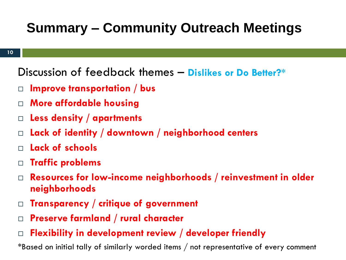Discussion of feedback themes – **Dislikes or Do Better?\***

- **Improve transportation / bus**
- **More affordable housing**
- **Less density / apartments**
- **Lack of identity / downtown / neighborhood centers**
- **Lack of schools**
- **Traffic problems**
- **Resources for low-income neighborhoods / reinvestment in older neighborhoods**
- **Transparency / critique of government**
- **Preserve farmland / rural character**
- **Flexibility in development review / developer friendly**

\*Based on initial tally of similarly worded items / not representative of every comment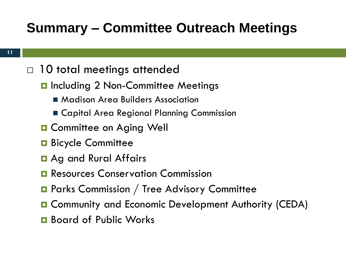#### $\Box$  10 total meetings attended

- **D** Including 2 Non-Committee Meetings
	- **Madison Area Builders Association**
	- Capital Area Regional Planning Commission
- **D** Committee on Aging Well
- **Bicycle Committee**
- **E** Ag and Rural Affairs
- **Resources Conservation Commission**
- **Parks Commission / Tree Advisory Committee**
- Community and Economic Development Authority (CEDA)
- **□** Board of Public Works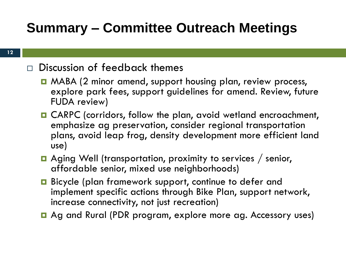#### $\Box$  Discussion of feedback themes

- MABA (2 minor amend, support housing plan, review process, explore park fees, support guidelines for amend. Review, future FUDA review)
- CARPC (corridors, follow the plan, avoid wetland encroachment, emphasize ag preservation, consider regional transportation plans, avoid leap frog, density development more efficient land use)
- **□** Aging Well (transportation, proximity to services / senior, affordable senior, mixed use neighborhoods)
- Bicycle (plan framework support, continue to defer and implement specific actions through Bike Plan, support network, increase connectivity, not just recreation)
- Ag and Rural (PDR program, explore more ag. Accessory uses)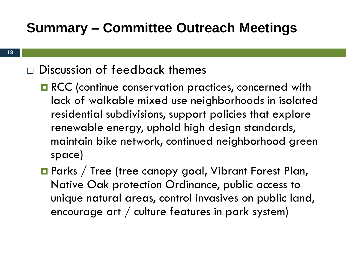### $\Box$  Discussion of feedback themes

- **RCC** (continue conservation practices, concerned with lack of walkable mixed use neighborhoods in isolated residential subdivisions, support policies that explore renewable energy, uphold high design standards, maintain bike network, continued neighborhood green space)
- **Parks / Tree (tree canopy goal, Vibrant Forest Plan,** Native Oak protection Ordinance, public access to unique natural areas, control invasives on public land, encourage art / culture features in park system)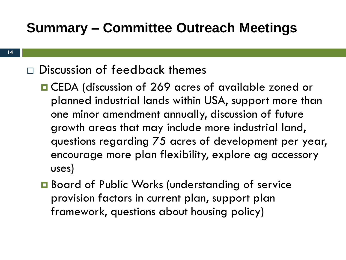### Discussion of feedback themes

- CEDA (discussion of 269 acres of available zoned or planned industrial lands within USA, support more than one minor amendment annually, discussion of future growth areas that may include more industrial land, questions regarding 75 acres of development per year, encourage more plan flexibility, explore ag accessory uses)
- **□** Board of Public Works (understanding of service provision factors in current plan, support plan framework, questions about housing policy)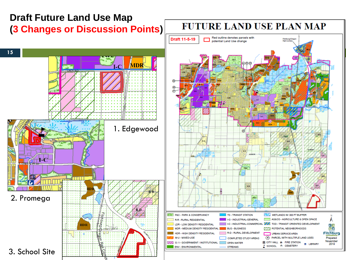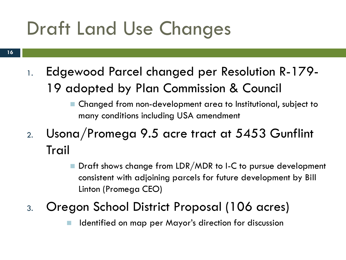# Draft Land Use Changes

- 1. Edgewood Parcel changed per Resolution R-179- 19 adopted by Plan Commission & Council
	- Changed from non-development area to Institutional, subject to many conditions including USA amendment
- 2. Usona/Promega 9.5 acre tract at 5453 Gunflint Trail
	- Draft shows change from LDR/MDR to I-C to pursue development consistent with adjoining parcels for future development by Bill Linton (Promega CEO)
- 3. Oregon School District Proposal (106 acres)
	- Identified on map per Mayor's direction for discussion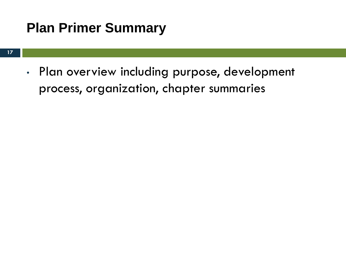### **Plan Primer Summary**

• Plan overview including purpose, development process, organization, chapter summaries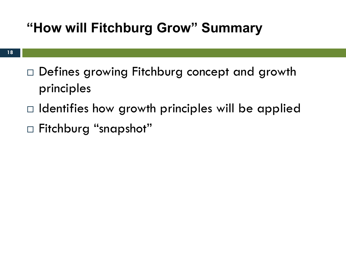### **"How will Fitchburg Grow" Summary**

- □ Defines growing Fitchburg concept and growth principles
- $\Box$  Identifies how growth principles will be applied
- Fitchburg "snapshot"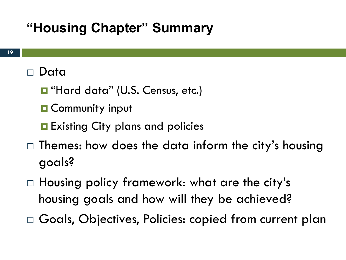### **"Housing Chapter" Summary**

### Data

- "Hard data" (U.S. Census, etc.)
- **O** Community input
- **Existing City plans and policies**
- $\Box$  Themes: how does the data inform the city's housing goals?
- □ Housing policy framework: what are the city's housing goals and how will they be achieved?
- □ Goals, Objectives, Policies: copied from current plan